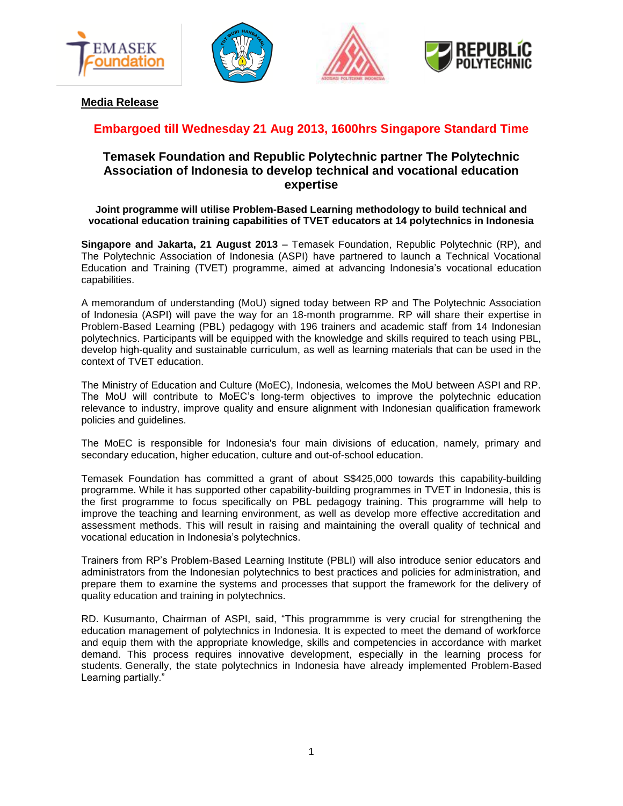







**Media Release**

# **Embargoed till Wednesday 21 Aug 2013, 1600hrs Singapore Standard Time**

# **Temasek Foundation and Republic Polytechnic partner The Polytechnic Association of Indonesia to develop technical and vocational education expertise**

## **Joint programme will utilise Problem-Based Learning methodology to build technical and vocational education training capabilities of TVET educators at 14 polytechnics in Indonesia**

**Singapore and Jakarta, 21 August 2013** – Temasek Foundation, Republic Polytechnic (RP), and The Polytechnic Association of Indonesia (ASPI) have partnered to launch a Technical Vocational Education and Training (TVET) programme, aimed at advancing Indonesia's vocational education capabilities.

A memorandum of understanding (MoU) signed today between RP and The Polytechnic Association of Indonesia (ASPI) will pave the way for an 18-month programme. RP will share their expertise in Problem-Based Learning (PBL) pedagogy with 196 trainers and academic staff from 14 Indonesian polytechnics. Participants will be equipped with the knowledge and skills required to teach using PBL, develop high-quality and sustainable curriculum, as well as learning materials that can be used in the context of TVET education.

The Ministry of Education and Culture (MoEC), Indonesia, welcomes the MoU between ASPI and RP. The MoU will contribute to MoEC's long-term objectives to improve the polytechnic education relevance to industry, improve quality and ensure alignment with Indonesian qualification framework policies and guidelines.

The MoEC is responsible for Indonesia's four main divisions of education, namely, primary and secondary education, higher education, culture and out-of-school education.

Temasek Foundation has committed a grant of about S\$425,000 towards this capability-building programme. While it has supported other capability-building programmes in TVET in Indonesia, this is the first programme to focus specifically on PBL pedagogy training. This programme will help to improve the teaching and learning environment, as well as develop more effective accreditation and assessment methods. This will result in raising and maintaining the overall quality of technical and vocational education in Indonesia's polytechnics.

Trainers from RP's Problem-Based Learning Institute (PBLI) will also introduce senior educators and administrators from the Indonesian polytechnics to best practices and policies for administration, and prepare them to examine the systems and processes that support the framework for the delivery of quality education and training in polytechnics.

RD. Kusumanto, Chairman of ASPI, said, "This programmme is very crucial for strengthening the education management of polytechnics in Indonesia. It is expected to meet the demand of workforce and equip them with the appropriate knowledge, skills and competencies in accordance with market demand. This process requires innovative development, especially in the learning process for students. Generally, the state polytechnics in Indonesia have already implemented Problem-Based Learning partially."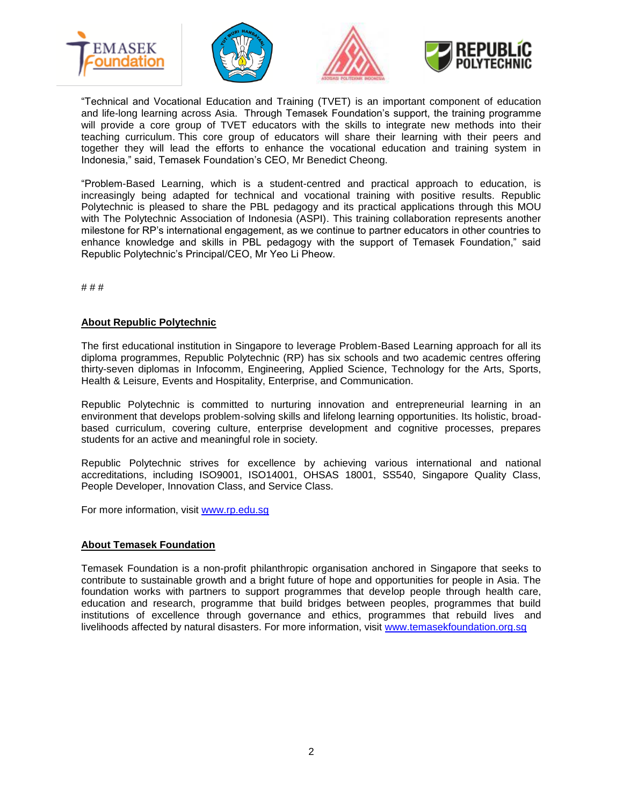







"Technical and Vocational Education and Training (TVET) is an important component of education and life-long learning across Asia. Through Temasek Foundation's support, the training programme will provide a core group of TVET educators with the skills to integrate new methods into their teaching curriculum. This core group of educators will share their learning with their peers and together they will lead the efforts to enhance the vocational education and training system in Indonesia," said, Temasek Foundation's CEO, Mr Benedict Cheong.

"Problem-Based Learning, which is a student-centred and practical approach to education, is increasingly being adapted for technical and vocational training with positive results. Republic Polytechnic is pleased to share the PBL pedagogy and its practical applications through this MOU with The Polytechnic Association of Indonesia (ASPI). This training collaboration represents another milestone for RP's international engagement, as we continue to partner educators in other countries to enhance knowledge and skills in PBL pedagogy with the support of Temasek Foundation," said Republic Polytechnic's Principal/CEO, Mr Yeo Li Pheow.

# # #

## **About Republic Polytechnic**

The first educational institution in Singapore to leverage Problem-Based Learning approach for all its diploma programmes, Republic Polytechnic (RP) has six schools and two academic centres offering thirty-seven diplomas in Infocomm, Engineering, Applied Science, Technology for the Arts, Sports, Health & Leisure, Events and Hospitality, Enterprise, and Communication.

Republic Polytechnic is committed to nurturing innovation and entrepreneurial learning in an environment that develops problem-solving skills and lifelong learning opportunities. Its holistic, broadbased curriculum, covering culture, enterprise development and cognitive processes, prepares students for an active and meaningful role in society.

Republic Polytechnic strives for excellence by achieving various international and national accreditations, including ISO9001, ISO14001, OHSAS 18001, SS540, Singapore Quality Class, People Developer, Innovation Class, and Service Class.

For more information, visit [www.rp.edu.sg](http://www.rp.edu.sg/)

#### **About Temasek Foundation**

Temasek Foundation is a non-profit philanthropic organisation anchored in Singapore that seeks to contribute to sustainable growth and a bright future of hope and opportunities for people in Asia. The foundation works with partners to support programmes that develop people through health care, education and research, programme that build bridges between peoples, programmes that build institutions of excellence through governance and ethics, programmes that rebuild lives and livelihoods affected by natural disasters. For more information, visit [www.temasekfoundation.org.sg](http://www.temasekfoundation.org.sg/)